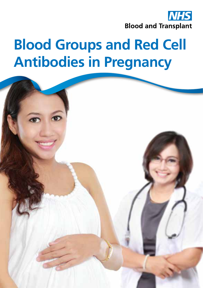

# **Blood Groups and Red Cell Antibodies in Pregnancy**

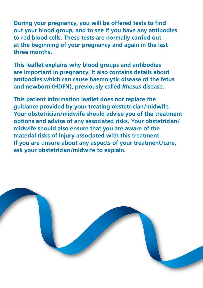**During your pregnancy, you will be offered tests to find out your blood group, and to see if you have any antibodies to red blood cells. These tests are normally carried out at the beginning of your pregnancy and again in the last three months.**

**This leaflet explains why blood groups and antibodies are important in pregnancy. It also contains details about antibodies which can cause haemolytic disease of the fetus and newborn (HDFN), previously called** *Rhesus* **disease.**

**This patient information leaflet does not replace the guidance provided by your treating obstetrician/midwife. Your obstetrician/midwife should advise you of the treatment options and advise of any associated risks. Your obstetrician/ midwife should also ensure that you are aware of the material risks of injury associated with this treatment. If you are unsure about any aspects of your treatment/care, ask your obstetrician/midwife to explain.**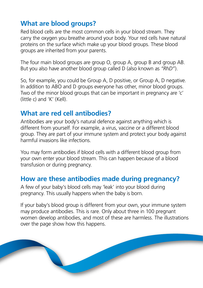## **What are blood groups?**

Red blood cells are the most common cells in your blood stream. They carry the oxygen you breathe around your body. Your red cells have natural proteins on the surface which make up your blood groups. These blood groups are inherited from your parents.

The four main blood groups are group O, group A, group B and group AB. But you also have another blood group called D (also known as *"RhD"*).

So, for example, you could be Group A, D positive, or Group A, D negative. In addition to ABO and D groups everyone has other, minor blood groups. Two of the minor blood groups that can be important in pregnancy are 'c' (little c) and 'K' (Kell).

## **What are red cell antibodies?**

Antibodies are your body's natural defence against anything which is different from yourself. For example, a virus, vaccine or a different blood group. They are part of your immune system and protect your body against harmful invasions like infections.

You may form antibodies if blood cells with a different blood group from your own enter your blood stream. This can happen because of a blood transfusion or during pregnancy.

## **How are these antibodies made during pregnancy?**

A few of your baby's blood cells may 'leak' into your blood during pregnancy. This usually happens when the baby is born.

If your baby's blood group is different from your own, your immune system may produce antibodies. This is rare. Only about three in 100 pregnant women develop antibodies, and most of these are harmless. The illustrations over the page show how this happens.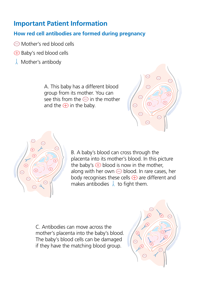## **Important Patient Information**

### **How red cell antibodies are formed during pregnancy**

- Mother's red blood cells
- Baby's red blood cells
- $\downarrow$  Mother's antibody

A. This baby has a different blood group from its mother. You can see this from the  $\ominus$  in the mother and the  $\bigoplus$  in the baby.





B. A baby's blood can cross through the placenta into its mother's blood. In this picture the baby's  $\bigoplus$  blood is now in the mother, along with her own  $\ominus$  blood. In rare cases, her body recognises these cells  $\bigoplus$  are different and makes antibodies  $\lambda$  to fight them.

C. Antibodies can move across the mother's placenta into the baby's blood. The baby's blood cells can be damaged if they have the matching blood group.

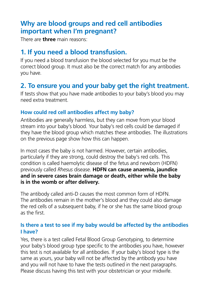## **Why are blood groups and red cell antibodies important when I'm pregnant?**

There are **three** main reasons:

## **1. If you need a blood transfusion.**

If you need a blood transfusion the blood selected for you must be the correct blood group. It must also be the correct match for any antibodies you have.

## **2. To ensure you and your baby get the right treatment.**

If tests show that you have made antibodies to your baby's blood you may need extra treatment.

#### **How could red cell antibodies affect my baby?**

Antibodies are generally harmless, but they can move from your blood stream into your baby's blood. Your baby's red cells could be damaged if they have the blood group which matches these antibodies. The illustrations on the previous page show how this can happen.

In most cases the baby is not harmed. However, certain antibodies, particularly if they are strong, could destroy the baby's red cells. This condition is called haemolytic disease of the fetus and newborn (HDFN) previously called *Rhesus* disease. **HDFN can cause anaemia, jaundice and in severe cases brain damage or death, either while the baby is in the womb or after delivery.**

The antibody called anti-D causes the most common form of HDFN. The antibodies remain in the mother's blood and they could also damage the red cells of a subsequent baby, if he or she has the same blood group as the first.

#### **Is there a test to see if my baby would be affected by the antibodies I have?**

Yes, there is a test called Fetal Blood Group Genotyping, to determine your baby's blood group type specific to the antibodies you have, however this test is not available for all antibodies. If your baby's blood type is the same as yours, your baby will not be affected by the antibody you have and you will not have to have the tests outlined in the next paragraphs. Please discuss having this test with your obstetrician or your midwife.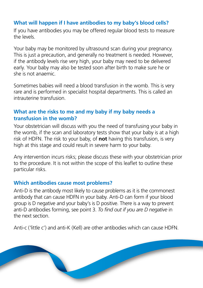#### **What will happen if I have antibodies to my baby's blood cells?**

If you have antibodies you may be offered regular blood tests to measure the levels.

Your baby may be monitored by ultrasound scan during your pregnancy. This is just a precaution, and generally no treatment is needed. However, if the antibody levels rise very high, your baby may need to be delivered early. Your baby may also be tested soon after birth to make sure he or she is not anaemic.

Sometimes babies will need a blood transfusion in the womb. This is very rare and is performed in specialist hospital departments. This is called an intrauterine transfusion.

#### **What are the risks to me and my baby if my baby needs a transfusion in the womb?**

Your obstetrician will discuss with you the need of transfusing your baby in the womb, if the scan and laboratory tests show that your baby is at a high risk of HDFN. The risk to your baby, of **not** having this transfusion, is very high at this stage and could result in severe harm to your baby.

Any intervention incurs risks; please discuss these with your obstetrician prior to the procedure. It is not within the scope of this leaflet to outline these particular risks.

#### **Which antibodies cause most problems?**

Anti-D is the antibody most likely to cause problems as it is the commonest antibody that can cause HDFN in your baby. Anti-D can form if your blood group is D negative and your baby's is D positive. There is a way to prevent anti-D antibodies forming, see point 3. *To find out if you are D negative* in the next section.

Anti-c ('little c') and anti-K (Kell) are other antibodies which can cause HDFN.

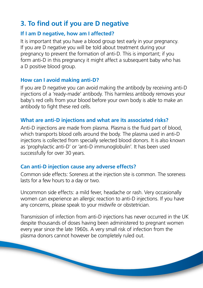# **3. To find out if you are D negative**

#### **If I am D negative, how am I affected?**

It is important that you have a blood group test early in your pregnancy. If you are D negative you will be told about treatment during your pregnancy to prevent the formation of anti-D. This is important; if you form anti-D in this pregnancy it might affect a subsequent baby who has a D positive blood group.

#### **How can I avoid making anti-D?**

If you are D negative you can avoid making the antibody by receiving anti-D injections of a 'ready-made' antibody. This harmless antibody removes your baby's red cells from your blood before your own body is able to make an antibody to fight these red cells.

#### **What are anti-D injections and what are its associated risks?**

Anti-D injections are made from plasma. Plasma is the fluid part of blood, which transports blood cells around the body. The plasma used in anti-D injections is collected from specially selected blood donors. It is also known as 'prophylactic anti-D' or 'anti-D immunoglobulin'. It has been used successfully for over 30 years.

### **Can anti-D injection cause any adverse effects?**

Common side effects: Soreness at the injection site is common. The soreness lasts for a few hours to a day or two.

Uncommon side effects: a mild fever, headache or rash. Very occasionally women can experience an allergic reaction to anti-D injections. If you have any concerns, please speak to your midwife or obstetrician.

Transmission of infection from anti-D injections has never occurred in the UK despite thousands of doses having been administered to pregnant women every year since the late 1960s. A very small risk of infection from the plasma donors cannot however be completely ruled out.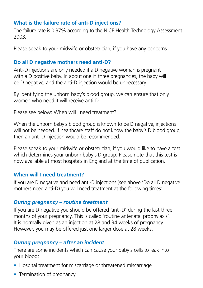#### **What is the failure rate of anti-D injections?**

The failure rate is 0.37% according to the NICE Health Technology Assessment 2003.

Please speak to your midwife or obstetrician, if you have any concerns.

#### **Do all D negative mothers need anti-D?**

Anti-D injections are only needed if a D negative woman is pregnant with a D positive baby. In about one in three pregnancies, the baby will be D negative, and the anti-D injection would be unnecessary.

By identifying the unborn baby's blood group, we can ensure that only women who need it will receive anti-D.

Please see below: When will I need treatment?

When the unborn baby's blood group is known to be D negative, injections will not be needed. If healthcare staff do not know the baby's D blood group, then an anti-D injection would be recommended.

Please speak to your midwife or obstetrician, if you would like to have a test which determines your unborn baby's D group. Please note that this test is now available at most hospitals in England at the time of publication.

#### **When will I need treatment?**

If you are D negative and need anti-D injections (see above 'Do all D negative mothers need anti-D) you will need treatment at the following times:

#### *During pregnancy – routine treatment*

If you are D negative you should be offered 'anti-D' during the last three months of your pregnancy. This is called 'routine antenatal prophylaxis'. It is normally given as an injection at 28 and 34 weeks of pregnancy. However, you may be offered just one larger dose at 28 weeks.

#### *During pregnancy – after an incident*

There are some incidents which can cause your baby's cells to leak into your blood:

- Hospital treatment for miscarriage or threatened miscarriage
- Termination of pregnancy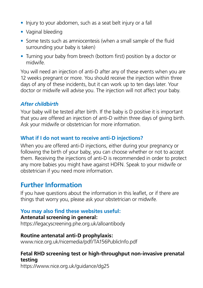- Injury to your abdomen, such as a seat belt injury or a fall
- Vaginal bleeding
- Some tests such as amniocentesis (when a small sample of the fluid surrounding your baby is taken)
- Turning your baby from breech (bottom first) position by a doctor or midwife.

You will need an injection of anti-D after any of these events when you are 12 weeks pregnant or more. You should receive the injection within three days of any of these incidents, but it can work up to ten days later. Your doctor or midwife will advise you. The injection will not affect your baby.

## *After childbirth*

Your baby will be tested after birth. If the baby is D positive it is important that you are offered an injection of anti-D within three days of giving birth. Ask your midwife or obstetrician for more information.

#### **What if I do not want to receive anti-D injections?**

When you are offered anti-D injections, either during your pregnancy or following the birth of your baby, you can choose whether or not to accept them. Receiving the injections of anti-D is recommended in order to protect any more babies you might have against HDFN. Speak to your midwife or obstetrician if you need more information.

## **Further Information**

If you have questions about the information in this leaflet, or if there are things that worry you, please ask your obstetrician or midwife.

#### **You may also find these websites useful:**

#### **Antenatal screening in general:**

https://legacyscreening.phe.org.uk/alloantibody

#### **Routine antenatal anti-D prophylaxis:**

www.nice.org.uk/nicemedia/pdf/TA156PublicInfo.pdf

#### **Fetal RHD screening test or high-throughput non-invasive prenatal testing**

https://www.nice.org.uk/guidance/dg25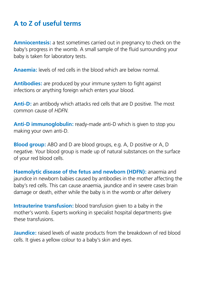# **A to Z of useful terms**

**Amniocentesis:** a test sometimes carried out in pregnancy to check on the baby's progress in the womb. A small sample of the fluid surrounding your baby is taken for laboratory tests.

**Anaemia:** levels of red cells in the blood which are below normal.

**Antibodies:** are produced by your immune system to fight against infections or anything foreign which enters your blood.

**Anti-D:** an antibody which attacks red cells that are D positive. The most common cause of *HDFN*.

**Anti-D immunoglobulin:** ready-made anti-D which is given to stop you making your own anti-D.

**Blood group:** ABO and D are blood groups, e.g. A, D positive or A, D negative. Your blood group is made up of natural substances on the surface of your red blood cells.

**Haemolytic disease of the fetus and newborn (HDFN):** anaemia and jaundice in newborn babies caused by antibodies in the mother affecting the baby's red cells. This can cause anaemia, jaundice and in severe cases brain damage or death, either while the baby is in the womb or after delivery

**Intrauterine transfusion:** blood transfusion given to a baby in the mother's womb. Experts working in specialist hospital departments give these transfusions.

**Jaundice:** raised levels of waste products from the breakdown of red blood cells. It gives a yellow colour to a baby's skin and eyes.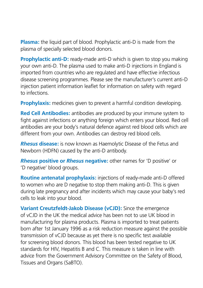**Plasma:** the liquid part of blood. Prophylactic anti-D is made from the plasma of specially selected blood donors.

**Prophylactic anti-D:** ready-made anti-D which is given to stop you making your own anti-D. The plasma used to make anti-D injections in England is imported from countries who are regulated and have effective infectious disease screening programmes. Please see the manufacturer's current anti-D injection patient information leaflet for information on safety with regard to infections.

**Prophylaxis:** medicines given to prevent a harmful condition developing.

**Red Cell Antibodies:** antibodies are produced by your immune system to fight against infections or anything foreign which enters your blood. Red cell antibodies are your body's natural defence against red blood cells which are different from your own. Antibodies can destroy red blood cells.

*Rhesus* **disease:** is now known as Haemolytic Disease of the Fetus and Newborn (HDFN) caused by the anti-D antibody.

*Rhesus* **positive or** *Rhesus* **negative:** other names for 'D positive' or 'D negative' blood groups.

**Routine antenatal prophylaxis:** injections of ready-made anti-D offered to women who are D negative to stop them making anti-D. This is given during late pregnancy and after incidents which may cause your baby's red cells to leak into your blood.

**Variant Creutzfeldt-Jakob Disease (vCJD):** Since the emergence of vCJD in the UK the medical advice has been not to use UK blood in manufacturing for plasma products. Plasma is imported to treat patients born after 1st January 1996 as a risk reduction measure against the possible transmission of vCJD because as yet there is no specific test available for screening blood donors. This blood has been tested negative to UK standards for HIV, Hepatitis B and C. This measure is taken in line with advice from the Government Advisory Committee on the Safety of Blood, Tissues and Organs (SaBTO).